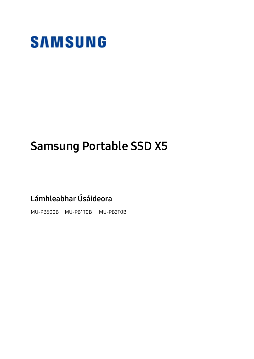

## Samsung Portable SSD X5

Lámhleabhar Úsáideora

MU-PB500B MU-PB1T0B MU-PB2T0B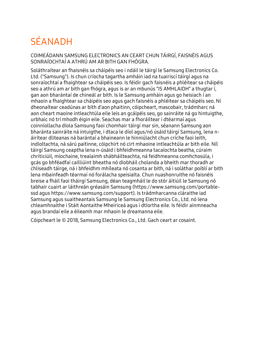## SÉANADH

COIMEÁDANN SAMSUNG ELECTRONICS AN CEART CHUN TÁIRGÍ, FAISNÉIS AGUS SONRAÍOCHTAÍ A ATHRÚ AM AR BITH GAN FHÓGRA.

Soláthraítear an fhaisnéis sa cháipéis seo i ndáil le táirgí le Samsung Electronics Co. Ltd. ("Samsung"). Is chun críocha tagartha amháin iad na tuairiscí táirgí agus na sonraíochtaí a fhaightear sa cháipéis seo. Is féidir gach faisnéis a phléitear sa cháipéis seo a athrú am ar bith gan fhógra, agus is ar an mbunús "IS AMHLAIDH" a thugtar í, gan aon bharántaí de chineál ar bith. Is le Samsung amháin agus go heisiach í an mhaoin a fhaightear sa cháipéis seo agus gach faisnéis a phléitear sa cháipéis seo. Ní dheonaítear ceadúnas ar bith d'aon phaitinn, cóipcheart, mascobair, trádmharc ná aon cheart maoine intleachtúla eile leis an gcáipéis seo, go sainráite ná go hintuigthe, urbhaic nó trí mhodh éigin eile. Seachas mar a fhoráiltear i dtéarmaí agus coinníollacha díola Samsung faoi chomhair táirgí mar sin, séanann Samsung aon bharánta sainráite ná intuigthe, i dtaca le díol agus/nó úsáid táirgí Samsung, lena náirítear dliteanas ná barántaí a bhaineann le hinniúlacht chun críche faoi leith, indíoltachta, ná sárú paitinne, cóipchirt nó cirt mhaoine intleachtúla ar bith eile. Níl táirgí Samsung ceaptha lena n-úsáid i bhfeidhmeanna tacaíochta beatha, cúraim chriticiúil, míochaine, trealaimh shábháilteachta, ná feidhmeanna comhchosúla, i gcás go bhféadfaí cailliúint bheatha nó díobháil cholanda a bheith mar thoradh ar chliseadh táirge, ná i bhfeidhm mhíleata nó cosanta ar bith, ná i soláthar poiblí ar bith lena mbainfeadh téarmaí nó forálacha speisialta. Chun nuashonruithe nó faisnéis breise a fháil faoi tháirgí Samsung, déan teagmháil le do stór áitiúil le Samsung nó tabhair cuairt ar láithreán gréasáin Samsung (https:/[/www.samsung.com/portable](http://www.samsung.com/portable-ssd)[ssd](http://www.samsung.com/portable-ssd) agus https:/[/www.samsung.com/support\)](http://www.samsung.com/support). Is trádmharcanna cláraithe iad Samsung agus suaitheantais Samsung le Samsung Electronics Co., Ltd. nó lena chleamhnaithe i Stáit Aontaithe Mheiriceá agus i dtíortha eile. Is féidir ainmneacha agus brandaí eile a éileamh mar mhaoin le dreamanna eile.

Cóipcheart le © 2018, Samsung Electronics Co., Ltd. Gach ceart ar cosaint.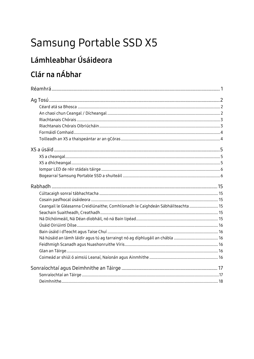## Samsung Portable SSD X5

# Lámhleabhar Úsáideora

## Clár na nÁbhar

| Ceangail le Gléasanna Creidiúnaithe; Comhlíonadh le Caighdeán Sábháilteachta  15 |  |
|----------------------------------------------------------------------------------|--|
|                                                                                  |  |
|                                                                                  |  |
|                                                                                  |  |
|                                                                                  |  |
|                                                                                  |  |
|                                                                                  |  |
|                                                                                  |  |
|                                                                                  |  |
|                                                                                  |  |
|                                                                                  |  |
|                                                                                  |  |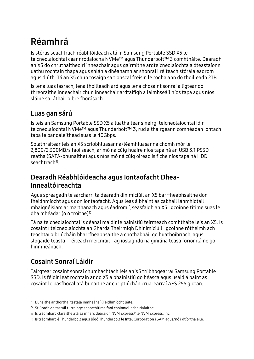## <span id="page-3-0"></span>Réamhrá

Is stóras seachtrach réabhlóideach atá in Samsung Portable SSD X5 le teicneolaíochtaí ceannródaíocha NVMe™ agus Thunderbolt™ 3 comhtháite. Dearadh an X5 do chruthaitheoirí inneachair agus gairmithe ardteicneolaíochta a dteastaíonn uathu rochtain thapa agus shlán a dhéanamh ar shonraí i réiteach stórála éadrom agus dlúth. Tá an X5 chun tosaigh sa tionscal freisin le rogha ann do thoilleadh 2TB.

Is lena luas lasrach, lena thoilleadh ard agus lena chosaint sonraí a ligtear do threoraithe inneachair chun inneachair ardtaifigh a láimhseáil níos tapa agus níos sláine sa láthair oibre fhorásach

## Luas gan sárú

Is leis an Samsung Portable SSD X5 a luathaítear sineirgí teicneolaíochtaí idir teicneolaíochtaí NVMe™ agus Thunderbolt™ 3, rud a thairgeann comhéadan iontach tapa le bandaleithead suas le 40Gbps.

Soláthraítear leis an X5 scríobhluasanna/léamhluasanna chomh mór le 2,800/2,300MB/s faoi seach, ar mó ná cúig huaire níos tapa ná an USB 3.1 PSSD reatha (SATA-bhunaithe) agus níos mó ná cúig oiread is fiche níos tapa ná HDD seachtrach<sup>[1\)](#page-3-1)</sup>.

### Dearadh Réabhlóideacha agus Iontaofacht Dhea-Innealtóireachta

Agus spreagadh le sárcharr, tá dearadh dinimiciúil an X5 barrfheabhsaithe don fheidhmíocht agus don iontaofacht. Agus leas á bhaint as cabhail lánmhiotail mhaignéisiam ar marthanach agus éadrom í, seasfaidh an X5 i gcoinne titime suas le dhá mhéadar (6.6 troithe)<sup>[2\)](#page-3-2)</sup>.

Tá na teicneolaíochtaí is déanaí maidir le bainistiú teirmeach comhtháite leis an X5. Is cosaint í teicneolaíochta an Gharda Theirmigh Dhinimiciúil i gcoinne róthéimh ach teochtaí oibriúcháin bharrfheabhsaithe a chothabháil go huathoibríoch, agus slogaide teasta - réiteach meicniúil - ag íoslaghdú na giniúna teasa foriomláine go hinmheánach.

## Cosaint Sonraí Láidir

-

Tairgtear cosaint sonraí chumhachtach leis an X5 trí bhogearraí Samsung Portable SSD. Is féidir leat rochtain ar do X5 a bhainistiú go héasca agus úsáid á baint as cosaint le pasfhocal atá bunaithe ar chriptiúchán crua-earraí AES 256 giotán.

<span id="page-3-1"></span><sup>1)</sup> Bunaithe ar thorthaí tástála inmheánaí (Feidhmíocht léite)

<span id="page-3-2"></span><sup>2)</sup> Stiúradh an tástáil turrainge shaorthitime faoi choinníollacha rialaithe.

<sup>※</sup> Is trádmharc cláraithe atá sa mharc dearaidh NVM Express® le NVM Express, Inc.

<sup>※</sup> Is trádmharc é Thunderbolt agus lógó Thunderbolt le Intel Corporation i SAM agus/nó i dtíortha eile.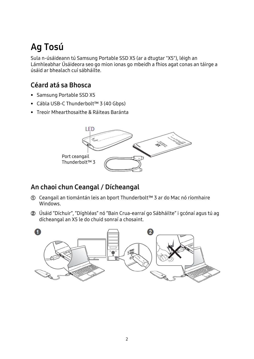## <span id="page-4-0"></span>Ag Tosú

Sula n-úsáideann tú Samsung Portable SSD X5 (ar a dtugtar "X5"), léigh an Lámhleabhar Úsáideora seo go mion ionas go mbeidh a fhios agat conas an táirge a úsáid ar bhealach cuí sábháilte.

## <span id="page-4-1"></span>Céard atá sa Bhosca

- Samsung Portable SSD X5
- Cábla USB-C Thunderbolt™ 3 (40 Gbps)
- Treoir Mhearthosaithe & Ráiteas Baránta



## <span id="page-4-2"></span>An chaoi chun Ceangal / Dícheangal

- **①** Ceangail an tiomántán leis an bport Thunderbolt™ 3 ar do Mac nó ríomhaire Windows.
- **②** Úsáid "Díchuir", "Díghléas" nó "Bain Crua-earraí go Sábháilte" i gcónaí agus tú ag dícheangal an X5 le do chuid sonraí a chosaint.

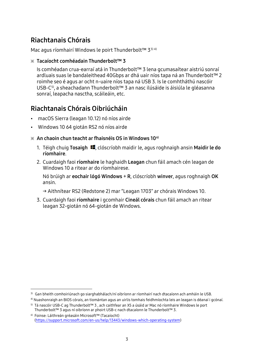## <span id="page-5-0"></span>Riachtanais Chórais

-

Mac agus ríomhairí Windows le poirt Thunderbolt™ [3](#page-5-2)<sup>3) [4](#page-5-3))</sup>

※ Tacaíocht comhéadain Thunderbolt™ 3

Is comhéadan crua-earraí atá in Thunderbolt™ 3 lena gcumasaítear aistriú sonraí ardluais suas le bandaleithead 40Gbps ar dhá uair níos tapa ná an Thunderbolt™ 2 roimhe seo é agus ar ocht n-uaire níos tapa ná USB 3. Is le comhtháthú nascóir USB-C<sup>[5](#page-5-4))</sup>, a sheachadann Thunderbolt™ 3 an nasc ilúsáide is áisiúla le gléasanna sonraí, leapacha nasctha, scáileáin, etc.

## <span id="page-5-1"></span>Riachtanais Chórais Oibriúcháin

- macOS Sierra (leagan 10.12) nó níos airde
- Windows 10 64 giotán RS2 nó níos airde

#### $\times$  An chaoin chun teacht ar fhaisnéis OS in Windows 10<sup>[6](#page-5-5)</sup>

- 1. Téigh chuig Tosaigh  $\blacksquare$ , clóscríobh maidir le, agus roghnaigh ansin Maidir le do ríomhaire.
- 2. Cuardaigh faoi ríomhaire le haghaidh Leagan chun fáil amach cén leagan de Windows 10 a ritear ar do ríomhairese.

Nó brúigh ar eochair lógó Windows + R, clóscríobh winver, agus roghnaigh OK ansin.

- → Aithnítear RS2 (Redstone 2) mar "Leagan 1703" ar chórais Windows 10.
- 3. Cuardaigh faoi ríomhaire i gcomhair Cineál córais chun fáil amach an ritear leagan 32-giotán nó 64-giotán de Windows.

<span id="page-5-2"></span><sup>&</sup>lt;sup>3)</sup> Gan bheith comhoiriúnach go siarghabhálach/ní oibríonn ar ríomhairí nach dtacaíonn ach amháin le USB.

<span id="page-5-3"></span><sup>4)</sup> Nuashonraigh an BIOS córais, an tiomántan agus an uirlis tomhais feidhmíochta leis an leagan is déanaí i gcónaí.

<span id="page-5-4"></span><sup>5)</sup> Tá nascóir USB-C ag Thunderbolt™ 3 , ach caithfear an X5 a úsáid ar Mac nó ríomhaire Windows le port Thunderbolt™ 3 agus ní oibríonn ar phoirt USB-c nach dtacaíonn le Thunderbolt™ 3.

<span id="page-5-5"></span><sup>6)</sup> Foinse: Láithreán gréasáin Microsoft™ (Tacaíocht) [\(https://support.microsoft.com/en-us/help/13443/windows-which-operating-system\)](https://support.microsoft.com/en-us/help/13443/windows-which-operating-system)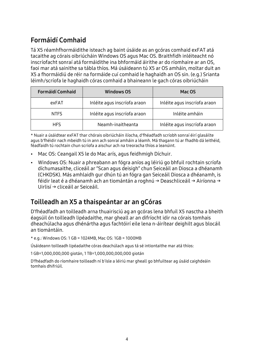## <span id="page-6-0"></span>Formáidí Comhaid

Tá X5 réamhfhormáidithe isteach ag baint úsáide as an gcóras comhaid exFAT atá tacaithe ag córais oibriúcháin Windows OS agus Mac OS. Braithfidh inléiteacht nó inscríofacht sonraí atá formáidithe ina bhformáid áirithe ar do ríomhaire ar an OS, faoi mar atá sainithe sa tábla thíos. Má úsáideann tú X5 ar OS amháin, moltar duit an X5 a fhormáidiú de réir na formáide cuí comhaid le haghaidh an OS sin. (e.g.) Srianta léimh/scríofa le haghaidh córas comhaid a bhaineann le gach córas oibriúcháin

| <b>Formáidí Comhaid</b> | <b>Windows OS</b>            | Mac OS                       |
|-------------------------|------------------------------|------------------------------|
| exFAT                   | Inléite agus inscríofa araon | Inléite agus inscríofa araon |
| <b>NTFS</b>             | Inléite agus inscríofa araon | Inléite amháin               |
| <b>HFS</b>              | Neamh-inaitheanta            | Inléite agus inscríofa araon |

\* Nuair a úsáidtear exFAT thar chórais oibriúcháin ilíocha, d'fhéadfadh scríobh sonraí éirí glasáilte agus b'fhéidir nach mbeidh tú in ann ach sonraí amháin a léamh. Má thagann tú ar fhadhb dá leithéid, féadfaidh tú rochtain chun scríofa a aischur ach na treoracha thíos a leanúint.

- Mac OS: Ceangail X5 le do Mac arís, agus feidhmigh Díchuir.
- Windows OS: Nuair a phreabann an fógra aníos ag léiriú go bhfuil rochtain scríofa díchumasaithe, cliceáil ar "Scan agus deisigh" chun Seiceáil an Diosca a dhéanamh (CHKDSK). Más amhlaidh gur dhún tú an fógra gan Seiceáil Diosca a dhéanamh, is féidir leat é a dhéanamh ach an tiomántán a roghnú → Deaschliceáil → Airíonna → Uirlisí → cliceáil ar Seiceáil.

## <span id="page-6-1"></span>Toilleadh an X5 a thaispeántar ar an gCóras

D'fhéadfadh an toilleadh arna thuairisciú ag an gcóras lena bhfuil X5 nasctha a bheith éagsúil ón toilleadh lipéadaithe, mar gheall ar an difríocht idir na córais tomhais dheachúlacha agus dhénártha agus fachtóirí eile lena n-áirítear deighilt agus blocáil an tiomántáin.

\* e.g.: Windows OS: 1 GB = 1024MB, Mac OS: 1GB = 1000MB

Úsáideann toilleadh lipéadaithe córas deachúlach agus tá sé intiontaithe mar atá thíos:

1 GB=1,000,000,000 giotán, 1 TB=1,000,000,000,000 giotán

D'fhéadfadh do ríomhaire toilleadh ní b'ísle a léiriú mar gheall go bhfuiltear ag úsáid caighdeáin tomhais dhifriúil.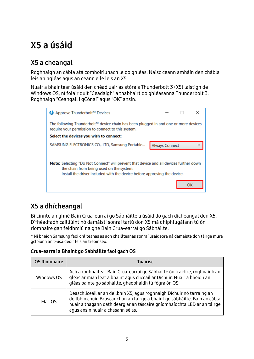## <span id="page-7-0"></span>X5 a úsáid

## <span id="page-7-1"></span>X5 a cheangal

Roghnaigh an cábla atá comhoiriúnach le do ghléas. Naisc ceann amháin den chábla leis an ngléas agus an ceann eile leis an X5.

Nuair a bhaintear úsáid den chéad uair as stórais Thunderbolt 3 (X5) laistigh de Windows OS, ní foláir duit "Ceadaigh" a thabhairt do ghléasanna Thunderbolt 3. Roghnaigh "Ceangail i gCónaí" agus "OK" ansin.



## <span id="page-7-2"></span>X5 a dhícheangal

Bí cinnte an ghné Bain Crua-earraí go Sábháilte a úsáid do gach dícheangal den X5. D'fhéadfadh cailliúint nó damáistí sonraí tarlú don X5 má dhíphlugálann tú ón ríomhaire gan feidhmiú na gné Bain Crua-earraí go Sábháilte.

\* Ní bheidh Samsung faoi dhliteanas as aon chaillteanas sonraí úsáideora ná damáiste don táirge mura gcloíonn an t-úsáideoir leis an treoir seo.

#### Crua-earraí a Bhaint go Sábháilte faoi gach OS

| <b>OS Ríomhaire</b> | <b>Tuairisc</b>                                                                                                                                                                                                                                                       |
|---------------------|-----------------------------------------------------------------------------------------------------------------------------------------------------------------------------------------------------------------------------------------------------------------------|
| Windows OS          | Ach a roghnaítear Bain Crua-earraí go Sábháilte ón tráidire, roghnaigh an<br>gléas ar mian leat a bhaint agus cliceáil ar Díchuir. Nuair a bheidh an<br>gléas bainte go sábháilte, gheobhaidh tú fógra ón OS.                                                         |
| Mac OS              | Deaschliceáil ar an deilbhín X5, agus roghnaigh Díchuir nó tarraing an<br>deilbhín chuig Bruscar chun an táirge a bhaint go sábháilte. Bain an cábla<br>nuair a thagann dath dearg ar an táscaire gníomhaíochta LED ar an táirge<br>agus ansin nuair a chasann sé as. |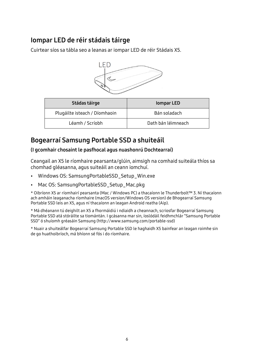### <span id="page-8-0"></span>Iompar LED de réir stádais táirge

Cuirtear síos sa tábla seo a leanas ar iompar LED de réir Stádais X5.



| Stádas táirge                 | <b>Iompar LED</b>  |
|-------------------------------|--------------------|
| Plugáilte isteach / Díomhaoin | Bán soladach       |
| Léamh / Scríobh               | Dath bán léimneach |

## <span id="page-8-1"></span>Bogearraí Samsung Portable SSD a shuiteáil

#### (I gcomhair chosaint le pasfhocal agus nuashonrú Dochtearraí)

Ceangail an X5 le ríomhaire pearsanta/glúin, aimsigh na comhaid suiteála thíos sa chomhad gléasanna, agus suiteáil an ceann iomchuí.

- Windows OS: SamsungPortableSSD\_Setup\_Win.exe
- Mac OS: SamsungPortableSSD Setup Mac.pkg

\* Oibríonn X5 ar ríomhairí pearsanta (Mac / Windows PC) a thacaíonn le Thunderbolt™ 3. Ní thacaíonn ach amháin leaganacha ríomhaire (macOS version/Windows OS version) de Bhogearraí Samsung Portable SSD leis an X5, agus ní thacaíonn an leagan Android reatha (Aip).

\* Má dhéanann tú deighilt an X5 a fhormáidiú i ndiaidh a cheannach, scriosfar Bogearraí Samsung Portable SSD atá stóráilte sa tiomántán. I gcásanna mar sin, íoslódáil feidhmchlár "Samsung Portable SSD" ó shuíomh gréasáin Samsung (http://www.samsung.com/portable-ssd)

\* Nuair a shuiteálfar Bogearraí Samsung Portable SSD le haghaidh X5 bainfear an leagan roimhe sin de go huathoibríoch, má bhíonn sé fós i do ríomhaire.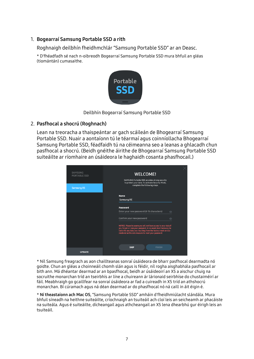#### 1. Bogearraí Samsung Portable SSD a rith

Roghnaigh deilbhín fheidhmchlár "Samsung Portable SSD" ar an Deasc.

\* D'fhéadfadh sé nach n-oibreodh Bogearraí Samsung Portable SSD mura bhfuil an gléas (tiomántán) cumasaithe.



Deilbhín Bogearraí Samsung Portable SSD

#### 2. Pasfhocal a shocrú (Roghnach)

Lean na treoracha a thaispeántar ar gach scáileán de Bhogearraí Samsung Portable SSD. Nuair a aontaíonn tú le téarmaí agus coinníollacha Bhogearraí Samsung Portable SSD, féadfaidh tú na céimeanna seo a leanas a ghlacadh chun pasfhocal a shocrú. (Beidh gnéithe áirithe de Bhogearraí Samsung Portable SSD suiteáilte ar ríomhaire an úsáideora le haghaidh cosanta phasfhocail.)



\* Níl Samsung freagrach as aon chaillteanas sonraí úsáideora de bharr pasfhocal dearmadta nó goidte. Chun an gléas a choinneáil chomh slán agus is féidir, níl rogha aisghabhála pasfhocail ar bith ann. Má dhéantar dearmad ar an bpasfhocal, beidh ar úsáideoirí an X5 a aischur chuig na socruithe monarchan tríd an tseirbhís ar líne a chuireann ár lárionaid seirbhíse do chustaiméirí ar fáil. Meabhraigh go gcaillfear na sonraí úsáideora ar fad a cuireadh in X5 tríd an athshocrú monarchan. Bí cúramach agus ná déan dearmad ar do phasfhocal nó ná caill in áit éigin é.

\* Ní theastaíonn ach Mac OS, "Samsung Portable SSD" amháin d'fheidhmiúlacht slándála. Mura bhfuil síneadh na heithne suiteáilte, críochnaigh an tsuiteáil ach cloí leis an seicheamh ar phacáiste na suiteála. Agus é suiteáilte, dícheangail agus athcheangail an X5 lena dhearbhú gur éirigh leis an tsuiteáil.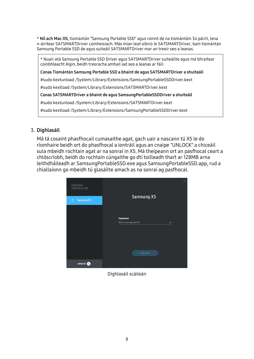\* Níl ach Mac OS, tiomántán "Samsung Portable SSD" agus roinnt de na tiomántáin 3ú páirtí, lena n-áirítear SATSMARTDriver comheisiach. Más mian leat oibriú le SATSMARTDriver, bain tiomántán Samsung Portable SSD de agus suiteáil SATSMARTDriver mar an treoir seo a leanas.

\* Nuair atá Samsung Portable SSD Driver agus SATSMARTDriver suiteáilte agus má bhraitear coinbhleacht éigin, beidh treoracha amhail iad seo a leanas ar fáil:

Conas Tiomántán Samsung Portable SSD a bhaint de agus SATSMARTDriver a shuiteáil

#sudo kextunload /System/Library/Extensions/SamsungPortableSSDDriver.kext

#sudo kextload /System/Library/Extensions/SATSMARTDriver.kext

Conas SATSMARTDriver a bhaint de agus SamsungPortableSSDDriver a shuiteáil

#sudo kextunload /System/Library/Extensions/SATSMARTDriver.kext

#sudo kextload /System/Library/Extensions/SamsungPortableSSDDriver.kext

#### 3. Díghlasáil

Má tá cosaint phasfhocail cumasaithe agat, gach uair a nascann tú X5 le do ríomhaire beidh ort do phasfhocal a iontráil agus an cnaipe "UNLOCK" a chiceáil sula mbeidh rochtain agat ar na sonraí in X5. Má theipeann ort an pasfhocal ceart a chlóscríobh, beidh do rochtain cúngaithe go dtí toilleadh thart ar 128MB arna leithdháileadh ar SamsungPortableSSD.exe agus SamsungPortableSSD.app, rud a chiallaíonn go mbeidh tú glasáilte amach as na sonraí ag pasfhocal.



Díghlasáil scáileán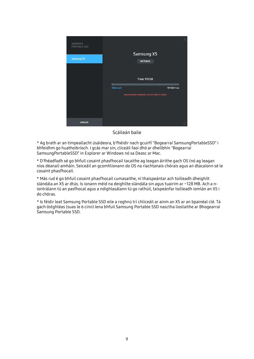

Scáileán baile

\* Ag brath ar an timpeallacht úsáideora, b'fhéidir nach gcuirfí "Bogearraí SamsungPortableSSD" i bhfeidhm go huathoibríoch. I gcás mar sin, cliceáil faoi dhó ar dheilbhín "Bogearraí SamsungPortableSSD" in Explorer ar Windows nó sa Deasc ar Mac.

\* D'fhéadfadh sé go bhfuil cosaint phasfhocail tacaithe ag leagan áirithe gach OS (nó ag leagan níos déanaí) amháin. Seiceáil an gcomhlíonann do OS na riachtanais chórais agus an dtacaíonn sé le cosaint phasfhocail.

\* Más rud é go bhfuil cosaint phasfhocail cumasaithe, ní thaispeántar ach toilleadh dheighilt slándála an X5 ar dtús. Is ionann méid na deighilte slándála sin agus tuairim ar ~128 MB. Ach a niontrálann tú an pasfhocal agus a ndíghlasálann tú go rathúil, taispeánfar toilleadh iomlán an X5 i do chóras.

\* Is féidir leat Samsung Portable SSD eile a roghnú trí chliceáil ar ainm an X5 ar an bpainéal clé. Tá gach óstghléas (suas le 6 cinn) lena bhfuil Samsung Portable SSD nasctha liostaithe ar Bhogearraí Samsung Portable SSD.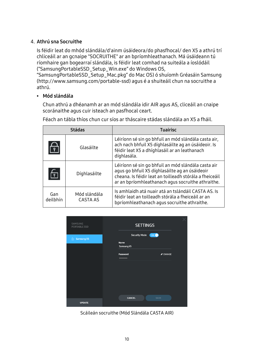#### 4. Athrú sna Socruithe

Is féidir leat do mhód slándála/d'ainm úsáideora/do phasfhocal/ den X5 a athrú trí chliceáil ar an gcnaipe "SOCRUITHE" ar an bpríomhleathanach. Má úsáideann tú ríomhaire gan bogearraí slándála, is féidir leat comhad na suiteála a íoslódáil ("SamsungPortableSSD\_Setup\_Win.exe" do Windows OS,

"SamsungPortableSSD\_Setup\_Mac.pkg" do Mac OS) ó shuíomh Gréasáin Samsung (http://www.samsung.com/portable-ssd) agus é a shuiteáil chun na socruithe a athrú.

#### • Mód slándála

Chun athrú a dhéanamh ar an mód slándála idir AIR agus AS, cliceáil an cnaipe scoránaithe agus cuir isteach an pasfhocal ceart.

Féach an tábla thíos chun cur síos ar tháscaire stádas slándála an X5 a fháil.

|                       | <b>Stádas</b>                   | <b>Tuairisc</b>                                                                                                                                                                                                       |
|-----------------------|---------------------------------|-----------------------------------------------------------------------------------------------------------------------------------------------------------------------------------------------------------------------|
| $\frac{\triangle}{r}$ | Glasáilte                       | Léiríonn sé sin go bhfuil an mód slándála casta air,<br>ach nach bhfuil X5 díghlasáilte ag an úsáideoir. Is<br>féidir leat X5 a dhíghlasáil ar an leathanach<br>díghlasála.                                           |
| 6                     | Díghlasáilte                    | Léiríonn sé sin go bhfuil an mód slándála casta air<br>agus go bhfuil X5 díghlasáilte ag an úsáideoir<br>cheana. Is féidir leat an toilleadh stórála a fheiceáil<br>ar an bpríomhleathanach agus socruithe athraithe. |
| Gan<br>deilbhín       | Mód slándála<br><b>CASTA AS</b> | Is amhlaidh atá nuair atá an tslándáil CASTA AS. Is<br>féidir leat an toilleadh stórála a fheiceáil ar an<br>bpríomhleathanach agus socruithe athraithe.                                                              |



Scáileán socruithe (Mód Slándála CASTA AIR)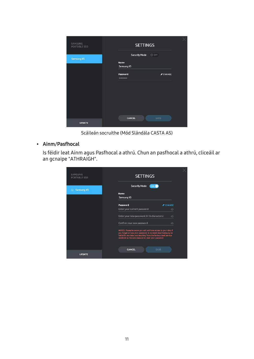| SAMSUNG<br>PORTABLE SSD | <b>SETTINGS</b>      |                              |
|-------------------------|----------------------|------------------------------|
| <b>Samsung X5</b>       | <b>Security Mode</b> | OFF                          |
|                         | <b>Name</b>          |                              |
|                         | Samsung X5           |                              |
|                         |                      |                              |
|                         | Password             | $\blacktriangleright$ CHANGE |
|                         | 000000               |                              |
|                         |                      |                              |
|                         |                      |                              |
|                         |                      |                              |
|                         |                      |                              |
|                         |                      |                              |
|                         |                      |                              |
|                         |                      |                              |
|                         |                      |                              |
|                         |                      |                              |
|                         |                      |                              |
|                         | <b>CANCEL</b>        | SAVE                         |
| <b>UPDATE</b>           |                      |                              |
|                         |                      |                              |

Scáileán socruithe (Mód Slándála CASTA AS)

• Ainm/Pasfhocal

Is féidir leat Ainm agus Pasfhocal a athrú. Chun an pasfhocal a athrú, cliceáil ar an gcnaipe "ATHRAIGH".

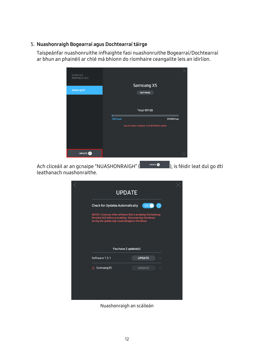#### 5. Nuashonraigh Bogearraí agus Dochtearraí táirge

Taispeánfar nuashonruithe infhaighte faoi nuashonruithe Bogearraí/Dochtearraí ar bhun an phainéil ar chlé má bhíonn do ríomhaire ceangailte leis an idirlíon.

| SAMSUNG<br><b>PORTABLE SSD</b> |                      |                                                     |  |
|--------------------------------|----------------------|-----------------------------------------------------|--|
|                                |                      | Samsung X5                                          |  |
| <b>Samsung X5</b>              |                      | <b>SETTINGS</b>                                     |  |
|                                |                      |                                                     |  |
|                                |                      | Total 931GB                                         |  |
|                                |                      |                                                     |  |
|                                | П<br><b>OGB Used</b> | 931GB Free                                          |  |
|                                |                      | Security Mode is Disabled. Click SETTINGS to enable |  |
|                                |                      |                                                     |  |
|                                |                      |                                                     |  |
|                                |                      |                                                     |  |

Ach cliceáil ar an gcnaipe "NUASHONRAIGH" (**Califare a Victor Casa)**, is féidir leat dul go dtí leathanach nuashonraithe.

|                                                                                                               | <b>UPDATE</b>                                                  |  |
|---------------------------------------------------------------------------------------------------------------|----------------------------------------------------------------|--|
| <b>Check for Updates Automatically</b>                                                                        | ◉<br>ON <b>O</b>                                               |  |
| Portable SSD before proceeding. Disconnecting the device<br>during the update may cause damage to the device. | NOTICE: Close any other software that is accessing the Samsung |  |
|                                                                                                               | You have 2 update(s)                                           |  |
| Software 1.5.1                                                                                                | <b>UPDATE</b>                                                  |  |
| <b>△ Samsung X5</b>                                                                                           | <b>UPDATE</b>                                                  |  |
|                                                                                                               |                                                                |  |
|                                                                                                               |                                                                |  |
|                                                                                                               |                                                                |  |

Nuashonraigh an scáileán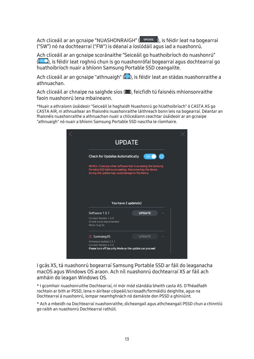Ach cliceáil ar an gcnaipe "NUASHONRAIGH" (**UPPATE**), is féidir leat na bogearraí ("SW") nó na dochtearraí ("FW") is déanaí a íoslódáil agus iad a nuashonrú.

Ach cliceáil ar an gcnaipe scoránaithe "Seiceáil go huathoibríoch do nuashonrú" (<sup>or O</sup>), is féidir leat roghnú chun is go nuashonrófaí bogearraí agus dochtearraí go huathoibríoch nuair a bhíonn Samsung Portable SSD ceangailte.

Ach cliceáil ar an gcnaipe "athnuaigh" ( $\bigcirc$ ), is féidir leat an stádas nuashonraithe a athnuachan.

Ach cliceáil ar chnaipe na saighde síos (.), feicfidh tú faisnéis mhionsonraithe faoin nuashonrú lena mbaineann.

\*Nuair a athraíonn úsáideoir "Seiceáil le haghaidh Nuashonrú go hUathoibríoch" ó CASTA AS go CASTA AIR, ní athnuaítear an fhaisnéis nuashonraithe láithreach bonn leis na bogearraí. Déantar an fhaisnéis nuashonraithe a athnuachan nuair a chliceálann ceachtar úsáideoir ar an gcnaipe "athnuaigh" nó nuair a bhíonn Samsung Portable SSD nasctha le ríomhaire.

| <b>UPDATE</b>                                                                                                                                                                   |               |           |
|---------------------------------------------------------------------------------------------------------------------------------------------------------------------------------|---------------|-----------|
| <b>Check for Updates Automatically</b>                                                                                                                                          | ON G          | $\bullet$ |
| NOTICE: Close any other software that is accessing the Samsung<br>Portable SSD before proceeding. Disconnecting the device<br>during the update may cause damage to the device. |               |           |
|                                                                                                                                                                                 |               |           |
|                                                                                                                                                                                 |               |           |
|                                                                                                                                                                                 |               |           |
| You have 2 update(s)                                                                                                                                                            |               |           |
| Software 1.5.1                                                                                                                                                                  | <b>UPDATE</b> |           |
| Current Version 1.5.0<br>UI and icons improvement<br>Minor bug fix                                                                                                              |               |           |
| <b>△ Samsung X5</b>                                                                                                                                                             | <b>UPDATE</b> | ↗         |
| Firmware Update 2.2.1<br>Current Version 2.2.0<br>Please turn off Security Mode so the update can proceed                                                                       |               |           |

I gcás X5, tá nuashonrú bogearraí Samsung Portable SSD ar fáil do leaganacha macOS agus Windows OS araon. Ach níl nuashonrú dochtearraí X5 ar fáil ach amháin do leagan Windows OS.

\* I gcomhair nuashonruithe Dochtearraí, ní mór mód slándála bheith casta AS. D'fhéadfadh rochtain ar bith ar PSSD, lena n-áirítear cóipeáil/scriosadh/formáidiú deighilte, agus na Dochtearraí á nuashonrú, iompar neamhghnách nó damáiste don PSSD a ghiniúint.

\* Ach a mbeidh na Dochtearraí nuashonraithe, dícheangail agus athcheangail PSSD chun a chinntiú go raibh an nuashonrú Dochtearraí rathúil.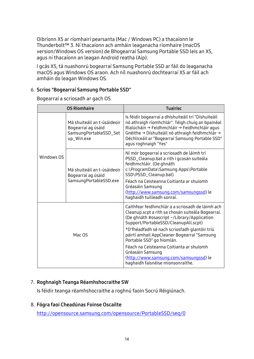Oibríonn X5 ar ríomhairí pearsanta (Mac / Windows PC) a thacaíonn le Thunderbolt™ 3. Ní thacaíonn ach amháin leaganacha ríomhaire (macOS version/Windows OS version) de Bhogearraí Samsung Portable SSD leis an X5, agus ní thacaíonn an leagan Android reatha (Aip).

I gcás X5, tá nuashonrú bogearraí Samsung Portable SSD ar fáil do leaganacha macOS agus Windows OS araon. Ach níl nuashonrú dochtearraí X5 ar fáil ach amháin do leagan Windows OS.

#### 6. Scrios "Bogearraí Samsung Portable SSD"

Bogearraí a scriosadh ar gach OS

| <b>OS Ríomhaire</b> |                                                                                           | <b>Tuairisc</b>                                                                                                                                                                                                                                                                                                                                                                                                                                                          |
|---------------------|-------------------------------------------------------------------------------------------|--------------------------------------------------------------------------------------------------------------------------------------------------------------------------------------------------------------------------------------------------------------------------------------------------------------------------------------------------------------------------------------------------------------------------------------------------------------------------|
|                     | Má shuiteáil an t-úsáideoir<br>Bogearraí ag úsáid<br>SamsungPortableSSD_Set<br>up_Win.exe | Is féidir bogearraí a dhíshuiteáil trí "Díshuiteáil<br>nó athraigh ríomhchlár". Téigh chuig an bpainéal<br>Rialúcháin → Feidhmchláir → Feidhmchláir agus<br>Gnéithe → Díshuiteáil nó athraigh feidhmchlár →<br>Déchliceáil ar "Bogearraí Samsung Portable SSD"<br>agus roghnaigh "Yes"                                                                                                                                                                                   |
| Windows OS          | Má shuiteáil an t-úsáideoir<br>Bogearraí ag úsáid<br>SamsungPortableSSD.exe               | Ní mór bogearraí a scriosadh de láimh trí<br>PSSD_Cleanup.bat a rith i gcosán suiteála<br>feidhmchláir. (De ghnáth<br>c:\ProgramData\Samsung Apps\Portable<br>SSD\PSSD_Cleanup.bat)<br>Féach na Ceisteanna Coitianta ar shuíomh<br>Gréasáin Samsung<br>(http://www.samsung.com/samsungssd) le<br>haghaidh tuilleadh sonraí.                                                                                                                                              |
| Mac OS              |                                                                                           | Caithfear feidhmchlár a a scriosadh de láimh ach<br>Cleanup.scpt a rith sa chosán suiteála Bogearraí.<br>(De ghnáth #osascript ~/Library/Application<br>Support/PortableSSD/CleanupAll.scpt)<br>*D'fhéadfadh sé nach scriosfadh glantóir tríú<br>páirtí amhail AppCleaner Bogearraí "Samsung<br>Portable SSD" go hiomlán.<br>Féach na Ceisteanna Coitianta ar shuíomh<br>Gréasáin Samsung<br>(http://www.samsung.com/samsungssd) le<br>haghaidh faisnéise mionsonraithe. |

#### 7. Roghnaigh Teanga Réamhshocraithe SW

Is féidir teanga réamhshocraithe a roghnú faoin Socrú Réigiúnach.

#### 8. Fógra faoi Cheadúnas Foinse Oscailte

<http://opensource.samsung.com/opensource/PortableSSD/seq/0>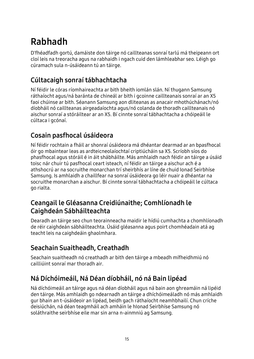## <span id="page-17-0"></span>Rabhadh

D'fhéadfadh gortú, damáiste don táirge nó caillteanas sonraí tarlú má theipeann ort cloí leis na treoracha agus na rabhaidh i ngach cuid den lámhleabhar seo. Léigh go cúramach sula n-úsáideann tú an táirge.

## <span id="page-17-1"></span>Cúltacaigh sonraí tábhachtacha

Ní féidir le córas ríomhaireachta ar bith bheith iomlán slán. Ní thugann Samsung ráthaíocht agus/ná baránta de chineál ar bith i gcoinne caillteanais sonraí ar an X5 faoi chúinse ar bith. Séanann Samsung aon dliteanas as anacair mhothúchánach/nó díobháil nó caillteanas airgeadaíochta agus/nó colanda de thoradh caillteanais nó aischur sonraí a stóráiltear ar an X5. Bí cinnte sonraí tábhachtacha a chóipeáil le cúltaca i gcónaí.

## <span id="page-17-2"></span>Cosain pasfhocal úsáideora

Ní féidir rochtain a fháil ar shonraí úsáideora má dhéantar dearmad ar an bpasfhocal óir go mbaintear leas as ardteicneolaíochtaí criptiúcháin sa X5. Scríobh síos do phasfhocal agus stóráil é in áit shábháilte. Más amhlaidh nach féidir an táirge a úsáid toisc nár chuir tú pasfhocal ceart isteach, ní féidir an táirge a aischur ach é a athshocrú ar na socruithe monarchan trí sheirbhís ar líne de chuid Ionad Seirbhíse Samsung. Is amhlaidh a chaillfear na sonraí úsáideora go léir nuair a dhéantar na socruithe monarchan a aischur. Bí cinnte sonraí tábhachtacha a chóipeáil le cúltaca go rialta.

### <span id="page-17-3"></span>Ceangail le Gléasanna Creidiúnaithe; Comhlíonadh le Caighdeán Sábháilteachta

Dearadh an táirge seo chun teorainneacha maidir le hídiú cumhachta a chomhlíonadh de réir caighdeán sábháilteachta. Úsáid gléasanna agus poirt chomhéadain atá ag teacht leis na caighdeáin ghaolmhara.

### <span id="page-17-4"></span>Seachain Suaitheadh, Creathadh

Seachain suaitheadh nó creathadh ar bith den táirge a mbeadh mífheidhmiú nó cailliúint sonraí mar thoradh air.

## <span id="page-17-5"></span>Ná Díchóimeáil, Ná Déan díobháil, nó ná Bain lipéad

Ná díchóimeáil an táirge agus ná déan díobháil agus ná bain aon ghreamáin ná lipéid den táirge. Más amhlaidh go ndearnadh an táirge a dhíchóimeáladh nó más amhlaidh gur bhain an t-úsáideoir an lipéad, beidh gach ráthaíocht neamhbhailí. Chun críche deisiúchán, ná déan teagmháil ach amháin le hIonad Seirbhíse Samsung nó soláthraithe seirbhíse eile mar sin arna n-ainmniú ag Samsung.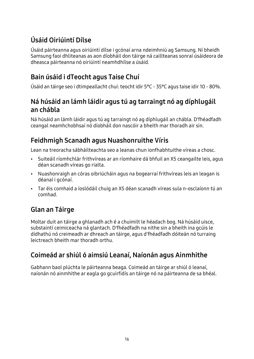## <span id="page-18-0"></span>Úsáid Oiriúintí Dílse

Úsáid páirteanna agus oiriúintí dílse i gcónaí arna ndeimhniú ag Samsung. Ní bheidh Samsung faoi dhliteanas as aon díobháil don táirge ná caillteanas sonraí úsáideora de dheasca páirteanna nó oiriúintí neamhdhílse a úsáid.

## <span id="page-18-1"></span>Bain úsáid i dTeocht agus Taise Chuí

Úsáid an táirge seo i dtimpeallacht chuí: teocht idir 5°C - 35°C agus taise idir 10 - 80%.

### <span id="page-18-2"></span>Ná húsáid an lámh láidir agus tú ag tarraingt nó ag díphlugáil an chábla

Ná húsáid an lámh láidir agus tú ag tarraingt nó ag díphlugáil an chábla. D'fhéadfadh ceangal neamhchobhsaí nó díobháil don nascóir a bheith mar thoradh air sin.

## <span id="page-18-3"></span>Feidhmigh Scanadh agus Nuashonruithe Víris

Lean na treoracha sábháilteachta seo a leanas chun ionfhabhtuithe víreas a chosc.

- Suiteáil ríomhchlár frithvíreas ar an ríomhaire dá bhfuil an X5 ceangailte leis, agus déan scanadh víreas go rialta.
- Nuashonraigh an córas oibriúcháin agus na bogearraí frithvíreas leis an leagan is déanaí i gcónaí.
- Tar éis comhaid a íoslódáil chuig an X5 déan scanadh víreas sula n-osclaíonn tú an comhad.

## <span id="page-18-4"></span>Glan an Táirge

Moltar duit an táirge a ghlanadh ach é a chuimilt le héadach bog. Ná húsáid uisce, substaintí ceimiceacha ná glantach. D'fhéadfadh na nithe sin a bheith ina gcúis le dídhathú nó creimeadh ar dhreach an táirge, agus d'fhéadfadh dóiteán nó turraing leictreach bheith mar thoradh orthu.

## <span id="page-18-5"></span>Coimeád ar shiúl ó aimsiú Leanaí, Naíonán agus Ainmhithe

Gabhann baol plúchta le páirteanna beaga. Coimeád an táirge ar shiúl ó leanaí, naíonán nó ainmhithe ar eagla go gcuirfidís an táirge nó na páirteanna de sa bhéal.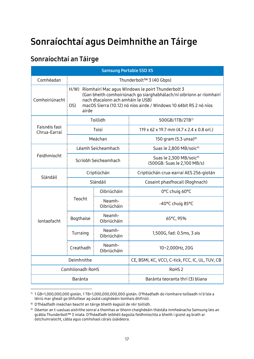## <span id="page-19-0"></span>Sonraíochtaí agus Deimhnithe an Táirge

## <span id="page-19-1"></span>Sonraíochtaí an Táirge

| <b>Samsung Portable SSD X5</b> |                                                                                                                                                                                                                                                           |                       |                                                                    |  |
|--------------------------------|-----------------------------------------------------------------------------------------------------------------------------------------------------------------------------------------------------------------------------------------------------------|-----------------------|--------------------------------------------------------------------|--|
| Comhéadan                      | Thunderbolt™ 3 (40 Gbps)                                                                                                                                                                                                                                  |                       |                                                                    |  |
| Comhoiriúnacht                 | H/W) Ríomhairí Mac agus Windows le poirt Thunderbolt 3<br>(Gan bheith comhoiriúnach go siarghabhálach/ní oibríonn ar ríomhairí<br>nach dtacaíonn ach amháin le USB)<br>OS)<br>macOS Sierra (10.12) nó níos airde / Windows 10 64bit RS 2 nó níos<br>airde |                       |                                                                    |  |
|                                |                                                                                                                                                                                                                                                           | Toillidh              | 500GB/1TB/2TB <sup>7)</sup>                                        |  |
| Faisnéis faoi<br>Chrua-Earraí  |                                                                                                                                                                                                                                                           | Toisí                 | 119 x 62 x 19.7 mm (4.7 x 2.4 x 0.8 orl.)                          |  |
|                                |                                                                                                                                                                                                                                                           | Meáchan               | 150 gram (5.3 unsa) $^{8)}$                                        |  |
|                                |                                                                                                                                                                                                                                                           | Léamh Seicheamhach    | Suas le 2,800 MB/soic <sup>9)</sup>                                |  |
| Feidhmíocht                    | Scríobh Seicheamhach                                                                                                                                                                                                                                      |                       | Suas le 2,300 MB/soic <sup>9)</sup><br>(500GB: Suas le 2,100 MB/s) |  |
| Slándáil                       | Criptiúchán                                                                                                                                                                                                                                               |                       | Criptiúchán crua-earraí AES 256-giotán                             |  |
|                                | Slándáil                                                                                                                                                                                                                                                  |                       | Cosaint phasfhocail (Roghnach)                                     |  |
|                                |                                                                                                                                                                                                                                                           | Oibriúcháin           | 0°C chuig 60°C                                                     |  |
|                                | Teocht                                                                                                                                                                                                                                                    | Neamh-<br>Oibriúcháin | -40°C chuig 85°C                                                   |  |
| Iontaofacht                    | Bogthaise                                                                                                                                                                                                                                                 | Neamh-<br>Oibriúcháin | 65°C, 95%                                                          |  |
|                                | Turraing                                                                                                                                                                                                                                                  | Neamh-<br>Oibriúcháin | 1,500G, fad: 0.5ms, 3 ais                                          |  |
|                                | Creathadh                                                                                                                                                                                                                                                 | Neamh-<br>Oibriúcháin | 10~2,000Hz, 20G                                                    |  |
|                                | Deimhnithe                                                                                                                                                                                                                                                |                       | CE, BSMI, KC, VCCI, C-tick, FCC, IC, UL, TUV, CB                   |  |
|                                | Comhlíonadh RoHS                                                                                                                                                                                                                                          |                       | RoHS <sub>2</sub>                                                  |  |
|                                | Baránta                                                                                                                                                                                                                                                   |                       | Baránta teoranta thrí (3) bliana                                   |  |

<span id="page-19-2"></span><sup>7)</sup> 1 GB=1,000,000,000 giotán, 1 TB=1,000,000,000,000 giotán. D'fhéadfadh do ríomhaire toilleadh ní b'ísle a léiriú mar gheall go bhfuiltear ag úsáid caighdeáin tomhais dhifriúil.

-

<span id="page-19-3"></span><sup>8)</sup> D'fhéadfadh meáchan beacht an táirge bheith éagsúil de réir toillidh.

<span id="page-19-4"></span><sup>9)</sup> Déantar an t-uasluas aistrithe sonraí a thomhas ar bhonn chaighdeáin thástála inmheánacha Samsung leis an gcábla Thunderbolt™ 3 iniata. D'fhéadfadh leibhéil éagsúla feidhmíochta a bheith i gceist ag brath ar óstchumraíocht, cábla agus comhshaol córais úsáideora.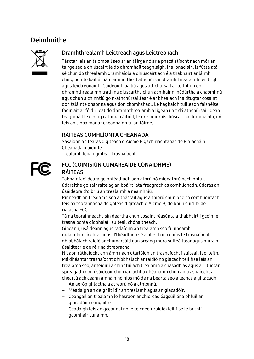### <span id="page-20-0"></span>Deimhnithe



#### Dramhthrealamh Leictreach agus Leictreonach

Tásctar leis an tsiombail seo ar an táirge nó ar a phacáistíocht nach mór an táirge seo a dhiúscairt le do dhramhaíl teaghlaigh. Ina ionad sin, is fútsa atá sé chun do threalamh dramhaíola a dhiúscairt ach é a thabhairt ar láimh chuig pointe bailiúcháin ainmnithe d'athchúrsáil dramhthrealaimh leictrigh agus leictreonaigh. Cuideoidh bailiú agus athchúrsáil ar leithligh do dhramhthrealaimh tráth na diúscartha chun acmhainní nádúrtha a chaomhnú agus chun a chinntiú go n-athchúrsáiltear é ar bhealach ina dtugtar cosaint don tsláinte dhaonna agus don chomhshaol. Le haghaidh tuilleadh faisnéise faoin áit ar féidir leat do dhramhthrealamh a ligean uait dá athchúrsáil, déan teagmháil le d'oifig cathrach áitiúil, le do sheirbhís diúscartha dramhaíola, nó leis an siopa mar ar cheannaigh tú an táirge.

#### RÁITEAS COMHLÍONTA CHEANADA

Sásaíonn an fearas digiteach d'Aicme B gach riachtanas de Rialacháin Cheanada maidir le

Trealamh lena ngintear Trasnaíocht.



#### FCC (COIMISIÚN CUMARSÁIDE CÓNAIDHME) RÁITEAS

Tabhair faoi deara go bhféadfadh aon athrú nó mionathrú nach bhfuil údaraithe go sainráite ag an bpáirtí atá freagrach as comhlíonadh, údarás an úsáideora d'oibriú an trealaimh a neamhniú.

Rinneadh an trealamh seo a thástáil agus a fhíorú chun bheith comhlíontach leis na teorannacha do ghléas digiteach d'Aicme B, de bhun cuid 15 de rialacha FCC.

Tá na teorainneacha sin deartha chun cosaint réasúnta a thabhairt i gcoinne trasnaíochta díobhálaí i suiteáil chónaitheach.

Gineann, úsáideann agus radaíonn an trealamh seo fuinneamh radaimhinicíochta, agus d'fhéadfadh sé a bheith ina chúis le trasnaíocht dhíobhálach raidió ar chumarsáid gan sreang mura suiteáiltear agus mura núsáidtear é de réir na dtreoracha.

Níl aon ráthaíocht ann ámh nach dtarlóidh an trasnaíocht i suiteáil faoi leith. Má dhéantar trasnaíocht dhíobhálach ar raidió nó glacadh teilifíse leis an trealamh seo, ar féidir í a chinntiú ach trealamh a chasadh as agus air, tugtar spreagadh don úsáideoir chun iarracht a dhéanamh chun an trasnaíocht a cheartú ach ceann amháin nó níos mó de na bearta seo a leanas a ghlacadh:

- An aeróg ghlactha a atreorú nó a athlonnú.
- Méadaigh an deighilt idir an trealamh agus an glacadóir.
- Ceangail an trealamh le hasraon ar chiorcad éagsúil óna bhfuil an glacadóir ceangailte.
- Ceadaigh leis an gceannaí nó le teicneoir raidió/teilifíse le taithí i gcomhair cúnaimh.